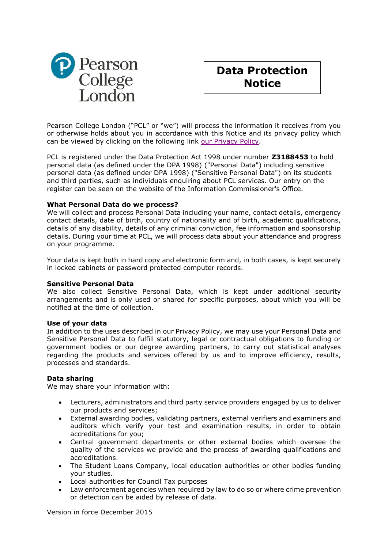



Pearson College London ("PCL" or "we") will process the information it receives from you or otherwise holds about you in accordance with this Notice and its privacy policy which can be viewed by clicking on the following link [our Privacy Policy.](http://uk.pearson.com/pearson-privacy/policy/privacy-policy)

PCL is registered under the Data Protection Act 1998 under number **Z3188453** to hold personal data (as defined under the DPA 1998) ("Personal Data") including sensitive personal data (as defined under DPA 1998) ("Sensitive Personal Data") on its students and third parties, such as individuals enquiring about PCL services. Our entry on the register can be seen on the website of the Information Commissioner's Office.

#### **What Personal Data do we process?**

We will collect and process Personal Data including your name, contact details, emergency contact details, date of birth, country of nationality and of birth, academic qualifications, details of any disability, details of any criminal conviction, fee information and sponsorship details. During your time at PCL, we will process data about your attendance and progress on your programme.

Your data is kept both in hard copy and electronic form and, in both cases, is kept securely in locked cabinets or password protected computer records.

#### **Sensitive Personal Data**

We also collect Sensitive Personal Data, which is kept under additional security arrangements and is only used or shared for specific purposes, about which you will be notified at the time of collection.

#### **Use of your data**

In addition to the uses described in our Privacy Policy, we may use your Personal Data and Sensitive Personal Data to fulfill statutory, legal or contractual obligations to funding or government bodies or our degree awarding partners, to carry out statistical analyses regarding the products and services offered by us and to improve efficiency, results, processes and standards.

# **Data sharing**

We may share your information with:

- Lecturers, administrators and third party service providers engaged by us to deliver our products and services;
- External awarding bodies, validating partners, external verifiers and examiners and auditors which verify your test and examination results, in order to obtain accreditations for you;
- Central government departments or other external bodies which oversee the quality of the services we provide and the process of awarding qualifications and accreditations.
- The Student Loans Company, local education authorities or other bodies funding your studies.
- Local authorities for Council Tax purposes
- Law enforcement agencies when required by law to do so or where crime prevention or detection can be aided by release of data.

Version in force December 2015